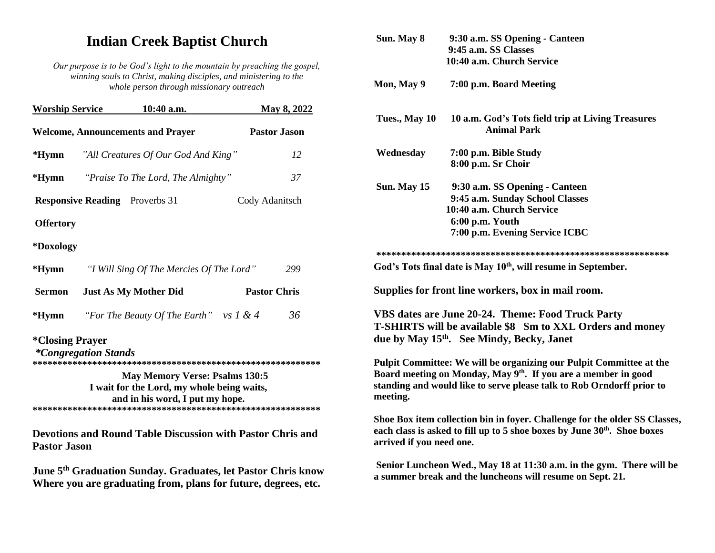## **Indian Creek Baptist Church**

*Our purpose is to be God's light to the mountain by preaching the gospel, winning souls to Christ, making disciples, and ministering to the whole person through missionary outreach*

| <b>Worship Service</b>        | 10:40 a.m.                                                                                                             | May 8, 2022                                                              |  |
|-------------------------------|------------------------------------------------------------------------------------------------------------------------|--------------------------------------------------------------------------|--|
|                               | <b>Welcome, Announcements and Prayer</b>                                                                               | <b>Pastor Jason</b>                                                      |  |
| $*Hymn$                       | "All Creatures Of Our God And King"                                                                                    | 12                                                                       |  |
| *Hymn                         | "Praise To The Lord, The Almighty"                                                                                     | 37                                                                       |  |
|                               | <b>Responsive Reading</b> Proverbs 31                                                                                  | Cody Adanitsch                                                           |  |
| <b>Offertory</b>              |                                                                                                                        |                                                                          |  |
| *Doxology                     |                                                                                                                        |                                                                          |  |
| $*Hymn$                       | "I Will Sing Of The Mercies Of The Lord"                                                                               | 299                                                                      |  |
| <b>Sermon</b>                 | <b>Just As My Mother Did</b>                                                                                           | <b>Pastor Chris</b>                                                      |  |
| $*Hymn$                       | "For The Beauty Of The Earth" vs $1 & 4$                                                                               | 36                                                                       |  |
| <i><b>*Closing Prayer</b></i> | <i>*Congregation Stands</i>                                                                                            |                                                                          |  |
|                               | <b>May Memory Verse: Psalms 130:5</b><br>I wait for the Lord, my whole being waits,<br>and in his word, I put my hope. |                                                                          |  |
| <b>Pastor Jason</b>           |                                                                                                                        | <b>Devotions and Round Table Discussion with Pastor Chris and</b>        |  |
|                               |                                                                                                                        | June 5 <sup>th</sup> Graduation Sunday. Graduates, let Pastor Chris know |  |

**Where you are graduating from, plans for future, degrees, etc.**

| Sun. May 8               | 9:30 a.m. SS Opening - Canteen<br>9:45 a.m. SS Classes<br>10:40 a.m. Church Service                                                                                                                                        |
|--------------------------|----------------------------------------------------------------------------------------------------------------------------------------------------------------------------------------------------------------------------|
| Mon, May 9               | 7:00 p.m. Board Meeting                                                                                                                                                                                                    |
| Tues., May 10            | 10 a.m. God's Tots field trip at Living Treasures<br><b>Animal Park</b>                                                                                                                                                    |
| Wednesday                | 7:00 p.m. Bible Study<br>8:00 p.m. Sr Choir                                                                                                                                                                                |
| Sun. May 15              | 9:30 a.m. SS Opening - Canteen<br>9:45 a.m. Sunday School Classes<br>10:40 a.m. Church Service<br>6:00 p.m. Youth<br>7:00 p.m. Evening Service ICBC                                                                        |
|                          | God's Tots final date is May 10 <sup>th</sup> , will resume in September.<br>Supplies for front line workers, box in mail room.                                                                                            |
|                          | VBS dates are June 20-24. Theme: Food Truck Party<br>T-SHIRTS will be available \$8 Sm to XXL Orders and money<br>due by May 15 <sup>th</sup> . See Mindy, Becky, Janet                                                    |
| meeting.                 | Pulpit Committee: We will be organizing our Pulpit Committee at the<br>Board meeting on Monday, May 9 <sup>th</sup> . If you are a member in good<br>standing and would like to serve please talk to Rob Orndorff prior to |
| arrived if you need one. | Shoe Box item collection bin in foyer. Challenge for the older SS Classes,<br>each class is asked to fill up to 5 shoe boxes by June 30 <sup>th</sup> . Shoe boxes                                                         |
|                          | Senior Luncheon Wed., May 18 at 11:30 a.m. in the gym. There will be<br>a summer break and the luncheons will resume on Sept. 21.                                                                                          |